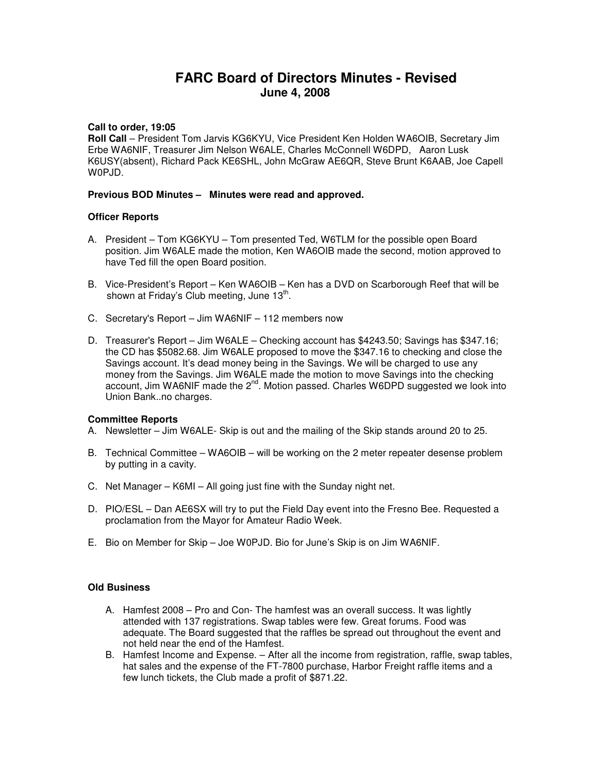# **FARC Board of Directors Minutes - Revised June 4, 2008**

## **Call to order, 19:05**

**Roll Call** – President Tom Jarvis KG6KYU, Vice President Ken Holden WA6OIB, Secretary Jim Erbe WA6NIF, Treasurer Jim Nelson W6ALE, Charles McConnell W6DPD, Aaron Lusk K6USY(absent), Richard Pack KE6SHL, John McGraw AE6QR, Steve Brunt K6AAB, Joe Capell W0PJD.

## **Previous BOD Minutes – Minutes were read and approved.**

## **Officer Reports**

- A. President Tom KG6KYU Tom presented Ted, W6TLM for the possible open Board position. Jim W6ALE made the motion, Ken WA6OIB made the second, motion approved to have Ted fill the open Board position.
- B. Vice-President's Report Ken WA6OIB Ken has a DVD on Scarborough Reef that will be shown at Friday's Club meeting, June  $13^{\text{th}}$ .
- C. Secretary's Report Jim WA6NIF 112 members now
- D. Treasurer's Report Jim W6ALE Checking account has \$4243.50; Savings has \$347.16; the CD has \$5082.68. Jim W6ALE proposed to move the \$347.16 to checking and close the Savings account. It's dead money being in the Savings. We will be charged to use any money from the Savings. Jim W6ALE made the motion to move Savings into the checking account, Jim WA6NIF made the  $2^{nd}$ . Motion passed. Charles W6DPD suggested we look into Union Bank..no charges.

#### **Committee Reports**

- A. Newsletter Jim W6ALE- Skip is out and the mailing of the Skip stands around 20 to 25.
- B. Technical Committee WA6OIB will be working on the 2 meter repeater desense problem by putting in a cavity.
- C. Net Manager K6MI All going just fine with the Sunday night net.
- D. PIO/ESL Dan AE6SX will try to put the Field Day event into the Fresno Bee. Requested a proclamation from the Mayor for Amateur Radio Week.
- E. Bio on Member for Skip Joe W0PJD. Bio for June's Skip is on Jim WA6NIF.

#### **Old Business**

- A. Hamfest 2008 Pro and Con- The hamfest was an overall success. It was lightly attended with 137 registrations. Swap tables were few. Great forums. Food was adequate. The Board suggested that the raffles be spread out throughout the event and not held near the end of the Hamfest.
- B. Hamfest Income and Expense. After all the income from registration, raffle, swap tables, hat sales and the expense of the FT-7800 purchase, Harbor Freight raffle items and a few lunch tickets, the Club made a profit of \$871.22.